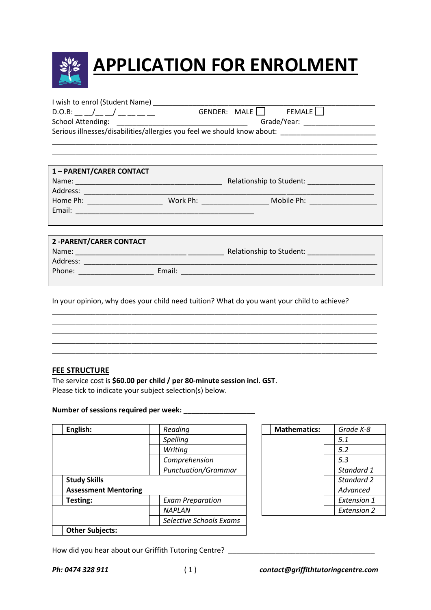

| I wish to enrol (Student Name) |             |                         |  |  |
|--------------------------------|-------------|-------------------------|--|--|
| D.O.B:                         |             | GENDER: MALE     FEMALE |  |  |
| <b>School Attending:</b>       | Grade/Year: |                         |  |  |

Serious illnesses/disabilities/allergies you feel we should know about:

| 1 - PARENT/CARER CONTACT        |                              |                          |  |
|---------------------------------|------------------------------|--------------------------|--|
|                                 |                              | Relationship to Student: |  |
| Address:                        |                              |                          |  |
| Home Ph: ______________________ | Work Ph: ___________________ | Mobile Ph: Nobile Ph:    |  |
|                                 |                              |                          |  |
|                                 |                              |                          |  |
|                                 |                              |                          |  |
| <b>2-PARENT/CARER CONTACT</b>   |                              |                          |  |
|                                 |                              | Relationship to Student: |  |
|                                 |                              |                          |  |
|                                 | Email:                       |                          |  |
|                                 |                              |                          |  |

\_\_\_\_\_\_\_\_\_\_\_\_\_\_\_\_\_\_\_\_\_\_\_\_\_\_\_\_\_\_\_\_\_\_\_\_\_\_\_\_\_\_\_\_\_\_\_\_\_\_\_\_\_\_\_\_\_\_\_\_\_\_\_\_\_\_\_\_\_\_\_\_\_\_\_\_\_\_\_\_\_\_ \_\_\_\_\_\_\_\_\_\_\_\_\_\_\_\_\_\_\_\_\_\_\_\_\_\_\_\_\_\_\_\_\_\_\_\_\_\_\_\_\_\_\_\_\_\_\_\_\_\_\_\_\_\_\_\_\_\_\_\_\_\_\_\_\_\_\_\_\_\_\_\_\_\_\_\_\_\_\_\_\_\_

In your opinion, why does your child need tuition? What do you want your child to achieve?

\_\_\_\_\_\_\_\_\_\_\_\_\_\_\_\_\_\_\_\_\_\_\_\_\_\_\_\_\_\_\_\_\_\_\_\_\_\_\_\_\_\_\_\_\_\_\_\_\_\_\_\_\_\_\_\_\_\_\_\_\_\_\_\_\_\_\_\_\_\_\_\_\_\_\_\_\_\_\_\_\_\_ \_\_\_\_\_\_\_\_\_\_\_\_\_\_\_\_\_\_\_\_\_\_\_\_\_\_\_\_\_\_\_\_\_\_\_\_\_\_\_\_\_\_\_\_\_\_\_\_\_\_\_\_\_\_\_\_\_\_\_\_\_\_\_\_\_\_\_\_\_\_\_\_\_\_\_\_\_\_\_\_\_\_

\_\_\_\_\_\_\_\_\_\_\_\_\_\_\_\_\_\_\_\_\_\_\_\_\_\_\_\_\_\_\_\_\_\_\_\_\_\_\_\_\_\_\_\_\_\_\_\_\_\_\_\_\_\_\_\_\_\_\_\_\_\_\_\_\_\_\_\_\_\_\_\_\_\_\_\_\_\_\_\_\_\_

\_\_\_\_\_\_\_\_\_\_\_\_\_\_\_\_\_\_\_\_\_\_\_\_\_\_\_\_\_\_\_\_\_\_\_\_\_\_\_\_\_\_\_\_\_\_\_\_\_\_\_\_\_\_\_\_\_\_\_\_\_\_\_\_\_\_\_\_\_\_\_\_\_\_\_\_\_\_\_\_\_\_

## **FEE STRUCTURE**

The service cost is **\$60.00 per child / per 80-minute session incl. GST**. Please tick to indicate your subject selection(s) below.

## Number of sessions required per week:

| English:                    | Reading                    | <b>Mathematics:</b> | Grade K-8          |
|-----------------------------|----------------------------|---------------------|--------------------|
|                             | Spelling                   |                     | 5.1                |
|                             | Writing                    |                     | 5.2                |
|                             | Comprehension              |                     | 5.3                |
|                             | <b>Punctuation/Grammar</b> |                     | Standard 1         |
| <b>Study Skills</b>         |                            |                     | Standard 2         |
| <b>Assessment Mentoring</b> |                            |                     | Advanced           |
| Testing:                    | <b>Exam Preparation</b>    |                     | Extension 1        |
|                             | <b>NAPLAN</b>              |                     | <b>Extension 2</b> |
|                             | Selective Schools Exams    |                     |                    |
| <b>Other Subjects:</b>      |                            |                     |                    |
|                             |                            |                     |                    |

| <b>Mathematics:</b> | Grade K-8          |
|---------------------|--------------------|
|                     | 5.1                |
|                     | 5.2                |
|                     | 5.3                |
|                     | Standard 1         |
|                     | Standard 2         |
|                     | Advanced           |
|                     | <b>Extension 1</b> |
|                     | <b>Extension 2</b> |
|                     |                    |

How did you hear about our Griffith Tutoring Centre? \_\_\_\_\_\_\_\_\_\_\_\_\_\_\_\_\_\_\_\_\_\_\_\_\_\_\_